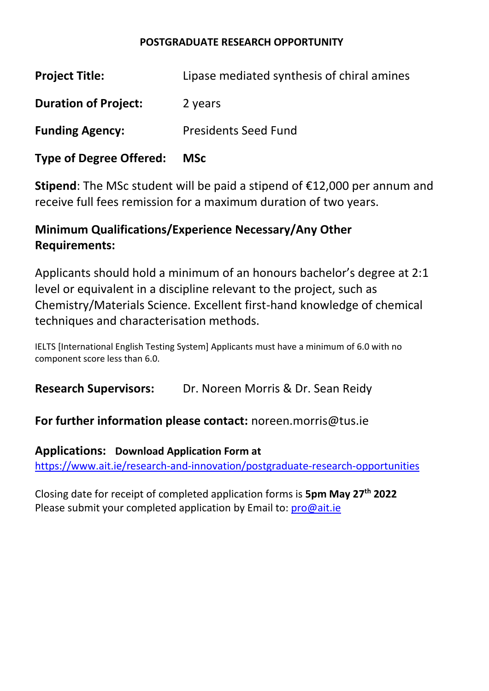#### **POSTGRADUATE RESEARCH OPPORTUNITY**

| <b>Type of Degree Offered:</b> | <b>MSc</b>                                 |
|--------------------------------|--------------------------------------------|
| <b>Funding Agency:</b>         | <b>Presidents Seed Fund</b>                |
| <b>Duration of Project:</b>    | 2 years                                    |
| <b>Project Title:</b>          | Lipase mediated synthesis of chiral amines |

**Stipend**: The MSc student will be paid a stipend of €12,000 per annum and receive full fees remission for a maximum duration of two years.

# **Minimum Qualifications/Experience Necessary/Any Other Requirements:**

Applicants should hold a minimum of an honours bachelor's degree at 2:1 level or equivalent in a discipline relevant to the project, such as Chemistry/Materials Science. Excellent first-hand knowledge of chemical techniques and characterisation methods.

IELTS [International English Testing System] Applicants must have a minimum of 6.0 with no component score less than 6.0.

**Research Supervisors:** Dr. Noreen Morris & Dr. Sean Reidy

## **For further information please contact:** noreen.morris@tus.ie

**Applications: Download Application Form at** <https://www.ait.ie/research-and-innovation/postgraduate-research-opportunities>

Closing date for receipt of completed application forms is **5pm May 27 th 2022** Please submit your completed application by Email to: *pro@ait.ie*